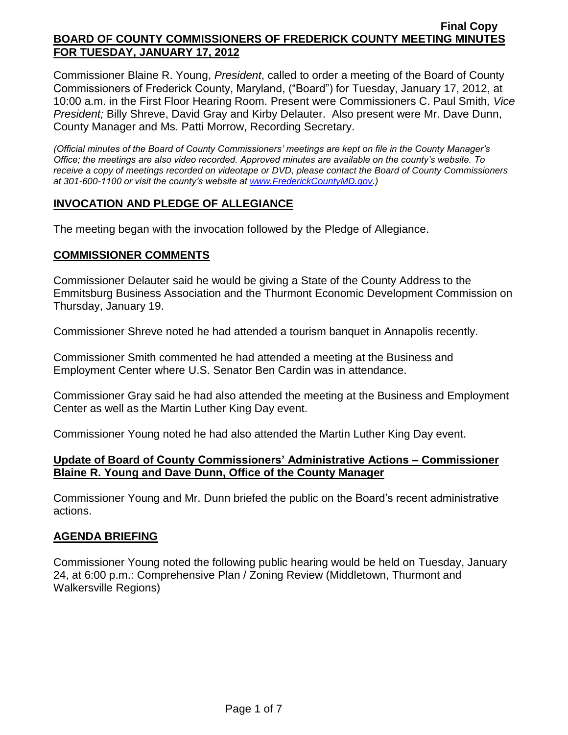Commissioner Blaine R. Young, *President*, called to order a meeting of the Board of County Commissioners of Frederick County, Maryland, ("Board") for Tuesday, January 17, 2012, at 10:00 a.m. in the First Floor Hearing Room. Present were Commissioners C. Paul Smith*, Vice President;* Billy Shreve, David Gray and Kirby Delauter. Also present were Mr. Dave Dunn, County Manager and Ms. Patti Morrow, Recording Secretary.

*(Official minutes of the Board of County Commissioners' meetings are kept on file in the County Manager's Office; the meetings are also video recorded. Approved minutes are available on the county's website. To receive a copy of meetings recorded on videotape or DVD, please contact the Board of County Commissioners at 301-600-1100 or visit the county's website at [www.FrederickCountyMD.gov.](http://www.frederickcountymd.gov/))*

## **INVOCATION AND PLEDGE OF ALLEGIANCE**

The meeting began with the invocation followed by the Pledge of Allegiance.

## **COMMISSIONER COMMENTS**

Commissioner Delauter said he would be giving a State of the County Address to the Emmitsburg Business Association and the Thurmont Economic Development Commission on Thursday, January 19.

Commissioner Shreve noted he had attended a tourism banquet in Annapolis recently.

Commissioner Smith commented he had attended a meeting at the Business and Employment Center where U.S. Senator Ben Cardin was in attendance.

Commissioner Gray said he had also attended the meeting at the Business and Employment Center as well as the Martin Luther King Day event.

Commissioner Young noted he had also attended the Martin Luther King Day event.

## **Update of Board of County Commissioners' Administrative Actions – Commissioner Blaine R. Young and Dave Dunn, Office of the County Manager**

Commissioner Young and Mr. Dunn briefed the public on the Board's recent administrative actions.

## **AGENDA BRIEFING**

Commissioner Young noted the following public hearing would be held on Tuesday, January 24, at 6:00 p.m.: Comprehensive Plan / Zoning Review (Middletown, Thurmont and Walkersville Regions)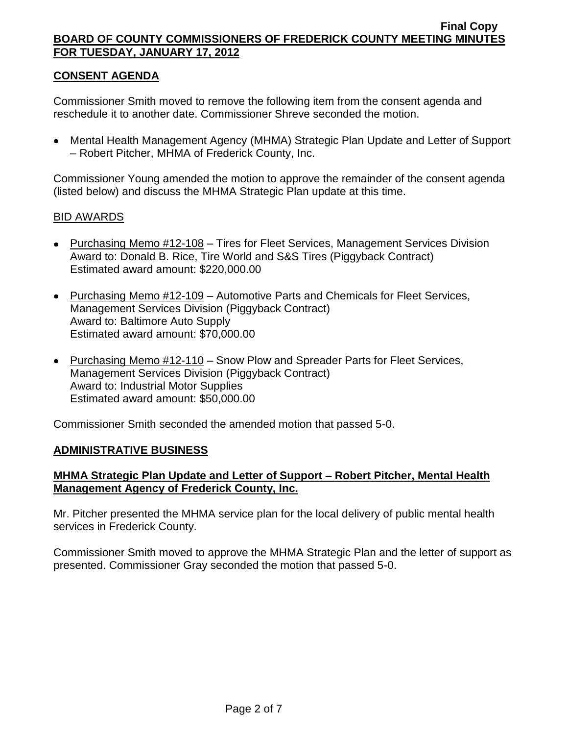# **CONSENT AGENDA**

Commissioner Smith moved to remove the following item from the consent agenda and reschedule it to another date. Commissioner Shreve seconded the motion.

Mental Health Management Agency (MHMA) Strategic Plan Update and Letter of Support – Robert Pitcher, MHMA of Frederick County, Inc.

Commissioner Young amended the motion to approve the remainder of the consent agenda (listed below) and discuss the MHMA Strategic Plan update at this time.

### BID AWARDS

- Purchasing Memo #12-108 Tires for Fleet Services, Management Services Division Award to: Donald B. Rice, Tire World and S&S Tires (Piggyback Contract) Estimated award amount: \$220,000.00
- Purchasing Memo #12-109 Automotive Parts and Chemicals for Fleet Services, Management Services Division (Piggyback Contract) Award to: Baltimore Auto Supply Estimated award amount: \$70,000.00
- Purchasing Memo #12-110 Snow Plow and Spreader Parts for Fleet Services, Management Services Division (Piggyback Contract) Award to: Industrial Motor Supplies Estimated award amount: \$50,000.00

Commissioner Smith seconded the amended motion that passed 5-0.

## **ADMINISTRATIVE BUSINESS**

## **MHMA Strategic Plan Update and Letter of Support – Robert Pitcher, Mental Health Management Agency of Frederick County, Inc.**

Mr. Pitcher presented the MHMA service plan for the local delivery of public mental health services in Frederick County.

Commissioner Smith moved to approve the MHMA Strategic Plan and the letter of support as presented. Commissioner Gray seconded the motion that passed 5-0.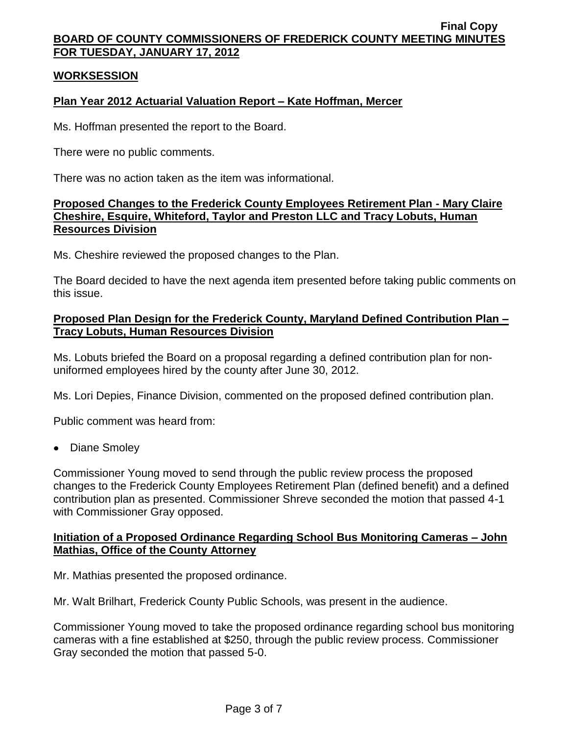## **WORKSESSION**

# **Plan Year 2012 Actuarial Valuation Report – Kate Hoffman, Mercer**

Ms. Hoffman presented the report to the Board.

There were no public comments.

There was no action taken as the item was informational.

## **Proposed Changes to the Frederick County Employees Retirement Plan - Mary Claire Cheshire, Esquire, Whiteford, Taylor and Preston LLC and Tracy Lobuts, Human Resources Division**

Ms. Cheshire reviewed the proposed changes to the Plan.

The Board decided to have the next agenda item presented before taking public comments on this issue.

# **Proposed Plan Design for the Frederick County, Maryland Defined Contribution Plan – Tracy Lobuts, Human Resources Division**

Ms. Lobuts briefed the Board on a proposal regarding a defined contribution plan for nonuniformed employees hired by the county after June 30, 2012.

Ms. Lori Depies, Finance Division, commented on the proposed defined contribution plan.

Public comment was heard from:

Diane Smoley

Commissioner Young moved to send through the public review process the proposed changes to the Frederick County Employees Retirement Plan (defined benefit) and a defined contribution plan as presented. Commissioner Shreve seconded the motion that passed 4-1 with Commissioner Gray opposed.

## **Initiation of a Proposed Ordinance Regarding School Bus Monitoring Cameras – John Mathias, Office of the County Attorney**

Mr. Mathias presented the proposed ordinance.

Mr. Walt Brilhart, Frederick County Public Schools, was present in the audience.

Commissioner Young moved to take the proposed ordinance regarding school bus monitoring cameras with a fine established at \$250, through the public review process. Commissioner Gray seconded the motion that passed 5-0.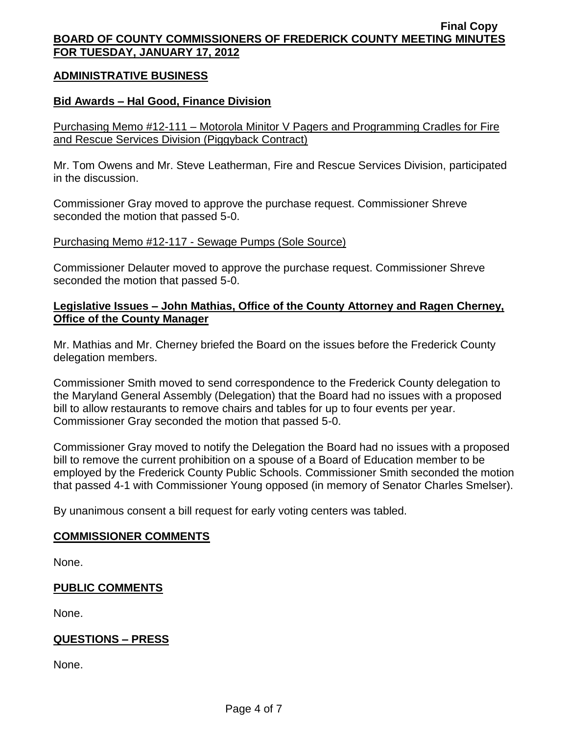### **ADMINISTRATIVE BUSINESS**

### **Bid Awards – Hal Good, Finance Division**

Purchasing Memo #12-111 – Motorola Minitor V Pagers and Programming Cradles for Fire and Rescue Services Division (Piggyback Contract)

Mr. Tom Owens and Mr. Steve Leatherman, Fire and Rescue Services Division, participated in the discussion.

Commissioner Gray moved to approve the purchase request. Commissioner Shreve seconded the motion that passed 5-0.

Purchasing Memo #12-117 - Sewage Pumps (Sole Source)

Commissioner Delauter moved to approve the purchase request. Commissioner Shreve seconded the motion that passed 5-0.

## **Legislative Issues – John Mathias, Office of the County Attorney and Ragen Cherney, Office of the County Manager**

Mr. Mathias and Mr. Cherney briefed the Board on the issues before the Frederick County delegation members.

Commissioner Smith moved to send correspondence to the Frederick County delegation to the Maryland General Assembly (Delegation) that the Board had no issues with a proposed bill to allow restaurants to remove chairs and tables for up to four events per year. Commissioner Gray seconded the motion that passed 5-0.

Commissioner Gray moved to notify the Delegation the Board had no issues with a proposed bill to remove the current prohibition on a spouse of a Board of Education member to be employed by the Frederick County Public Schools. Commissioner Smith seconded the motion that passed 4-1 with Commissioner Young opposed (in memory of Senator Charles Smelser).

By unanimous consent a bill request for early voting centers was tabled.

#### **COMMISSIONER COMMENTS**

None.

## **PUBLIC COMMENTS**

None.

# **QUESTIONS – PRESS**

None.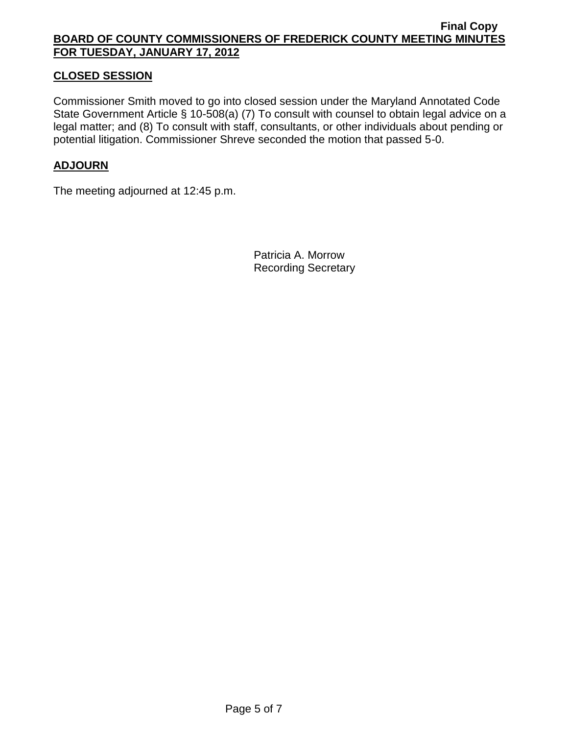# **CLOSED SESSION**

Commissioner Smith moved to go into closed session under the Maryland Annotated Code State Government Article § 10-508(a) (7) To consult with counsel to obtain legal advice on a legal matter; and (8) To consult with staff, consultants, or other individuals about pending or potential litigation. Commissioner Shreve seconded the motion that passed 5-0.

# **ADJOURN**

The meeting adjourned at 12:45 p.m.

Patricia A. Morrow Recording Secretary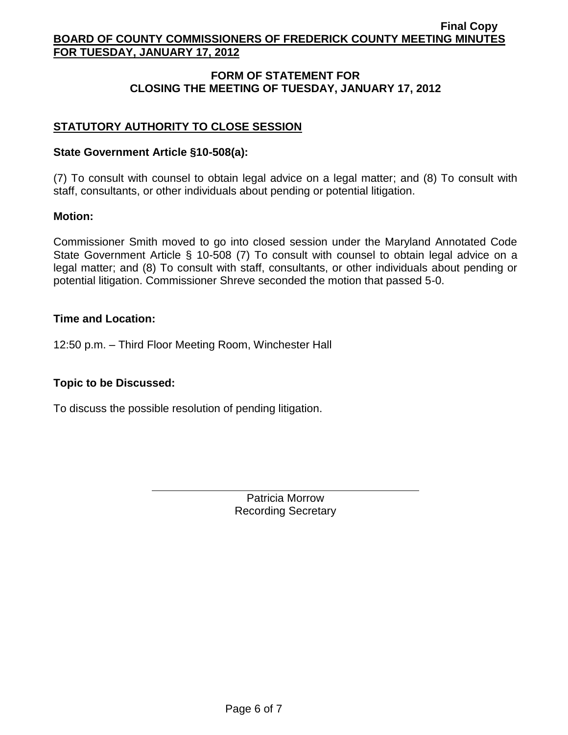# **FORM OF STATEMENT FOR CLOSING THE MEETING OF TUESDAY, JANUARY 17, 2012**

# **STATUTORY AUTHORITY TO CLOSE SESSION**

### **State Government Article §10-508(a):**

(7) To consult with counsel to obtain legal advice on a legal matter; and (8) To consult with staff, consultants, or other individuals about pending or potential litigation.

### **Motion:**

Commissioner Smith moved to go into closed session under the Maryland Annotated Code State Government Article § 10-508 (7) To consult with counsel to obtain legal advice on a legal matter; and (8) To consult with staff, consultants, or other individuals about pending or potential litigation. Commissioner Shreve seconded the motion that passed 5-0.

### **Time and Location:**

12:50 p.m. – Third Floor Meeting Room, Winchester Hall

## **Topic to be Discussed:**

To discuss the possible resolution of pending litigation.

Patricia Morrow Recording Secretary